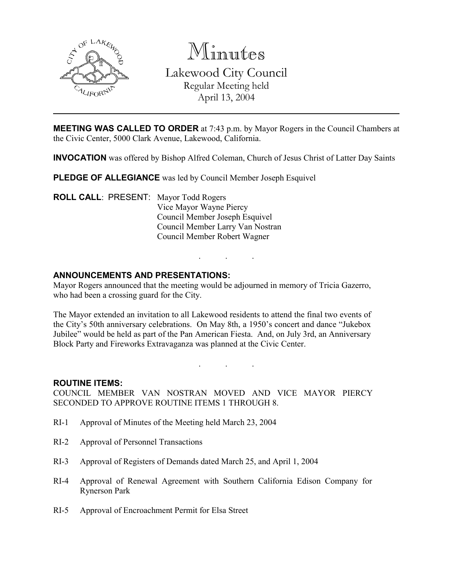

Minutes Lakewood City Council Regular Meeting held April 13, 2004

**MEETING WAS CALLED TO ORDER** at 7:43 p.m. by Mayor Rogers in the Council Chambers at the Civic Center, 5000 Clark Avenue, Lakewood, California.

INVOCATION was offered by Bishop Alfred Coleman, Church of Jesus Christ of Latter Day Saints

PLEDGE OF ALLEGIANCE was led by Council Member Joseph Esquivel

ROLL CALL: PRESENT: Mayor Todd Rogers Vice Mayor Wayne Piercy Council Member Joseph Esquivel Council Member Larry Van Nostran Council Member Robert Wagner

## ANNOUNCEMENTS AND PRESENTATIONS:

Mayor Rogers announced that the meeting would be adjourned in memory of Tricia Gazerro, who had been a crossing guard for the City.

. . .

The Mayor extended an invitation to all Lakewood residents to attend the final two events of the City's 50th anniversary celebrations. On May 8th, a 1950's concert and dance "Jukebox Jubilee" would be held as part of the Pan American Fiesta. And, on July 3rd, an Anniversary Block Party and Fireworks Extravaganza was planned at the Civic Center.

. . .

#### ROUTINE ITEMS:

COUNCIL MEMBER VAN NOSTRAN MOVED AND VICE MAYOR PIERCY SECONDED TO APPROVE ROUTINE ITEMS 1 THROUGH 8.

- RI-1 Approval of Minutes of the Meeting held March 23, 2004
- RI-2 Approval of Personnel Transactions
- RI-3 Approval of Registers of Demands dated March 25, and April 1, 2004
- RI-4 Approval of Renewal Agreement with Southern California Edison Company for Rynerson Park
- RI-5 Approval of Encroachment Permit for Elsa Street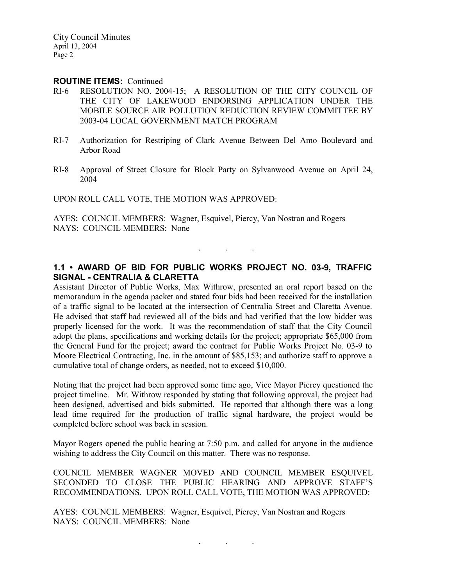#### ROUTINE ITEMS: Continued

- RI-6 RESOLUTION NO. 2004-15; A RESOLUTION OF THE CITY COUNCIL OF THE CITY OF LAKEWOOD ENDORSING APPLICATION UNDER THE MOBILE SOURCE AIR POLLUTION REDUCTION REVIEW COMMITTEE BY 2003-04 LOCAL GOVERNMENT MATCH PROGRAM
- RI-7 Authorization for Restriping of Clark Avenue Between Del Amo Boulevard and Arbor Road
- RI-8 Approval of Street Closure for Block Party on Sylvanwood Avenue on April 24, 2004

UPON ROLL CALL VOTE, THE MOTION WAS APPROVED:

AYES: COUNCIL MEMBERS: Wagner, Esquivel, Piercy, Van Nostran and Rogers NAYS: COUNCIL MEMBERS: None

## 1.1 • AWARD OF BID FOR PUBLIC WORKS PROJECT NO. 03-9, TRAFFIC SIGNAL - CENTRALIA & CLARETTA

. . .

Assistant Director of Public Works, Max Withrow, presented an oral report based on the memorandum in the agenda packet and stated four bids had been received for the installation of a traffic signal to be located at the intersection of Centralia Street and Claretta Avenue. He advised that staff had reviewed all of the bids and had verified that the low bidder was properly licensed for the work. It was the recommendation of staff that the City Council adopt the plans, specifications and working details for the project; appropriate \$65,000 from the General Fund for the project; award the contract for Public Works Project No. 03-9 to Moore Electrical Contracting, Inc. in the amount of \$85,153; and authorize staff to approve a cumulative total of change orders, as needed, not to exceed \$10,000.

Noting that the project had been approved some time ago, Vice Mayor Piercy questioned the project timeline. Mr. Withrow responded by stating that following approval, the project had been designed, advertised and bids submitted. He reported that although there was a long lead time required for the production of traffic signal hardware, the project would be completed before school was back in session.

Mayor Rogers opened the public hearing at 7:50 p.m. and called for anyone in the audience wishing to address the City Council on this matter. There was no response.

COUNCIL MEMBER WAGNER MOVED AND COUNCIL MEMBER ESQUIVEL SECONDED TO CLOSE THE PUBLIC HEARING AND APPROVE STAFF'S RECOMMENDATIONS. UPON ROLL CALL VOTE, THE MOTION WAS APPROVED:

AYES: COUNCIL MEMBERS: Wagner, Esquivel, Piercy, Van Nostran and Rogers NAYS: COUNCIL MEMBERS: None

 $\mathbf{r}$  .  $\mathbf{r}$  ,  $\mathbf{r}$  ,  $\mathbf{r}$  ,  $\mathbf{r}$  ,  $\mathbf{r}$  ,  $\mathbf{r}$  ,  $\mathbf{r}$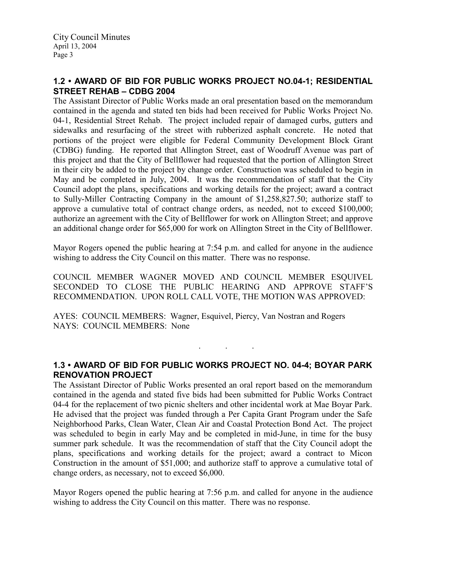## 1.2 • AWARD OF BID FOR PUBLIC WORKS PROJECT NO.04-1; RESIDENTIAL STREET REHAB – CDBG 2004

The Assistant Director of Public Works made an oral presentation based on the memorandum contained in the agenda and stated ten bids had been received for Public Works Project No. 04-1, Residential Street Rehab. The project included repair of damaged curbs, gutters and sidewalks and resurfacing of the street with rubberized asphalt concrete. He noted that portions of the project were eligible for Federal Community Development Block Grant (CDBG) funding. He reported that Allington Street, east of Woodruff Avenue was part of this project and that the City of Bellflower had requested that the portion of Allington Street in their city be added to the project by change order. Construction was scheduled to begin in May and be completed in July, 2004. It was the recommendation of staff that the City Council adopt the plans, specifications and working details for the project; award a contract to Sully-Miller Contracting Company in the amount of \$1,258,827.50; authorize staff to approve a cumulative total of contract change orders, as needed, not to exceed \$100,000; authorize an agreement with the City of Bellflower for work on Allington Street; and approve an additional change order for \$65,000 for work on Allington Street in the City of Bellflower.

Mayor Rogers opened the public hearing at 7:54 p.m. and called for anyone in the audience wishing to address the City Council on this matter. There was no response.

COUNCIL MEMBER WAGNER MOVED AND COUNCIL MEMBER ESQUIVEL SECONDED TO CLOSE THE PUBLIC HEARING AND APPROVE STAFF'S RECOMMENDATION. UPON ROLL CALL VOTE, THE MOTION WAS APPROVED:

AYES: COUNCIL MEMBERS: Wagner, Esquivel, Piercy, Van Nostran and Rogers NAYS: COUNCIL MEMBERS: None

## 1.3 • AWARD OF BID FOR PUBLIC WORKS PROJECT NO. 04-4; BOYAR PARK RENOVATION PROJECT

. . .

The Assistant Director of Public Works presented an oral report based on the memorandum contained in the agenda and stated five bids had been submitted for Public Works Contract 04-4 for the replacement of two picnic shelters and other incidental work at Mae Boyar Park. He advised that the project was funded through a Per Capita Grant Program under the Safe Neighborhood Parks, Clean Water, Clean Air and Coastal Protection Bond Act. The project was scheduled to begin in early May and be completed in mid-June, in time for the busy summer park schedule. It was the recommendation of staff that the City Council adopt the plans, specifications and working details for the project; award a contract to Micon Construction in the amount of \$51,000; and authorize staff to approve a cumulative total of change orders, as necessary, not to exceed \$6,000.

Mayor Rogers opened the public hearing at 7:56 p.m. and called for anyone in the audience wishing to address the City Council on this matter. There was no response.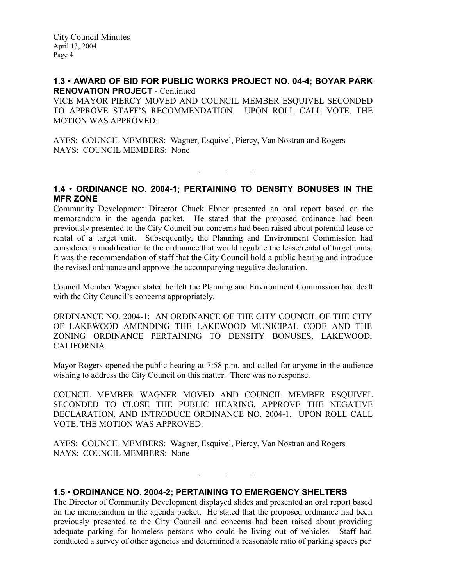### 1.3 • AWARD OF BID FOR PUBLIC WORKS PROJECT NO. 04-4; BOYAR PARK RENOVATION PROJECT - Continued

VICE MAYOR PIERCY MOVED AND COUNCIL MEMBER ESQUIVEL SECONDED TO APPROVE STAFF'S RECOMMENDATION. UPON ROLL CALL VOTE, THE MOTION WAS APPROVED:

AYES: COUNCIL MEMBERS: Wagner, Esquivel, Piercy, Van Nostran and Rogers NAYS: COUNCIL MEMBERS: None

## 1.4 • ORDINANCE NO. 2004-1; PERTAINING TO DENSITY BONUSES IN THE MFR ZONE

. . .

Community Development Director Chuck Ebner presented an oral report based on the memorandum in the agenda packet. He stated that the proposed ordinance had been previously presented to the City Council but concerns had been raised about potential lease or rental of a target unit. Subsequently, the Planning and Environment Commission had considered a modification to the ordinance that would regulate the lease/rental of target units. It was the recommendation of staff that the City Council hold a public hearing and introduce the revised ordinance and approve the accompanying negative declaration.

Council Member Wagner stated he felt the Planning and Environment Commission had dealt with the City Council's concerns appropriately.

ORDINANCE NO. 2004-1; AN ORDINANCE OF THE CITY COUNCIL OF THE CITY OF LAKEWOOD AMENDING THE LAKEWOOD MUNICIPAL CODE AND THE ZONING ORDINANCE PERTAINING TO DENSITY BONUSES, LAKEWOOD, CALIFORNIA

Mayor Rogers opened the public hearing at 7:58 p.m. and called for anyone in the audience wishing to address the City Council on this matter. There was no response.

COUNCIL MEMBER WAGNER MOVED AND COUNCIL MEMBER ESQUIVEL SECONDED TO CLOSE THE PUBLIC HEARING, APPROVE THE NEGATIVE DECLARATION, AND INTRODUCE ORDINANCE NO. 2004-1. UPON ROLL CALL VOTE, THE MOTION WAS APPROVED:

AYES: COUNCIL MEMBERS: Wagner, Esquivel, Piercy, Van Nostran and Rogers NAYS: COUNCIL MEMBERS: None

## 1.5 • ORDINANCE NO. 2004-2; PERTAINING TO EMERGENCY SHELTERS

The Director of Community Development displayed slides and presented an oral report based on the memorandum in the agenda packet. He stated that the proposed ordinance had been previously presented to the City Council and concerns had been raised about providing adequate parking for homeless persons who could be living out of vehicles. Staff had conducted a survey of other agencies and determined a reasonable ratio of parking spaces per

. . .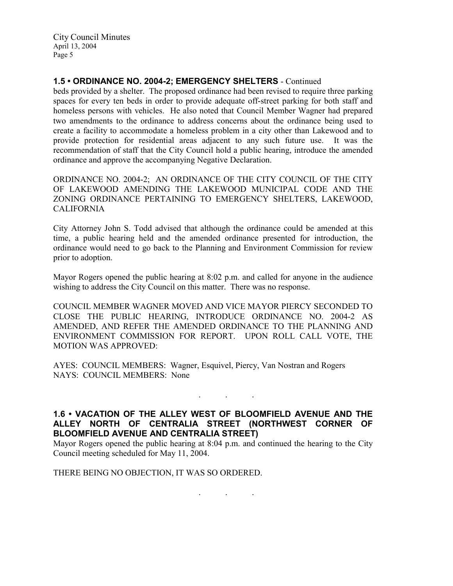## 1.5 • ORDINANCE NO. 2004-2; EMERGENCY SHELTERS - Continued

beds provided by a shelter. The proposed ordinance had been revised to require three parking spaces for every ten beds in order to provide adequate off-street parking for both staff and homeless persons with vehicles. He also noted that Council Member Wagner had prepared two amendments to the ordinance to address concerns about the ordinance being used to create a facility to accommodate a homeless problem in a city other than Lakewood and to provide protection for residential areas adjacent to any such future use. It was the recommendation of staff that the City Council hold a public hearing, introduce the amended ordinance and approve the accompanying Negative Declaration.

ORDINANCE NO. 2004-2; AN ORDINANCE OF THE CITY COUNCIL OF THE CITY OF LAKEWOOD AMENDING THE LAKEWOOD MUNICIPAL CODE AND THE ZONING ORDINANCE PERTAINING TO EMERGENCY SHELTERS, LAKEWOOD, CALIFORNIA

City Attorney John S. Todd advised that although the ordinance could be amended at this time, a public hearing held and the amended ordinance presented for introduction, the ordinance would need to go back to the Planning and Environment Commission for review prior to adoption.

Mayor Rogers opened the public hearing at 8:02 p.m. and called for anyone in the audience wishing to address the City Council on this matter. There was no response.

COUNCIL MEMBER WAGNER MOVED AND VICE MAYOR PIERCY SECONDED TO CLOSE THE PUBLIC HEARING, INTRODUCE ORDINANCE NO. 2004-2 AS AMENDED, AND REFER THE AMENDED ORDINANCE TO THE PLANNING AND ENVIRONMENT COMMISSION FOR REPORT. UPON ROLL CALL VOTE, THE MOTION WAS APPROVED:

AYES: COUNCIL MEMBERS: Wagner, Esquivel, Piercy, Van Nostran and Rogers NAYS: COUNCIL MEMBERS: None

## 1.6 • VACATION OF THE ALLEY WEST OF BLOOMFIELD AVENUE AND THE ALLEY NORTH OF CENTRALIA STREET (NORTHWEST CORNER OF BLOOMFIELD AVENUE AND CENTRALIA STREET)

. . .

Mayor Rogers opened the public hearing at 8:04 p.m. and continued the hearing to the City Council meeting scheduled for May 11, 2004.

. . .

THERE BEING NO OBJECTION, IT WAS SO ORDERED.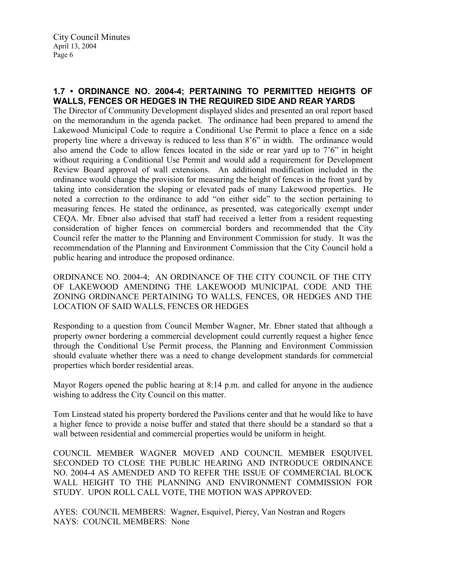# 1.7 • ORDINANCE NO. 2004-4; PERTAINING TO PERMITTED HEIGHTS OF WALLS, FENCES OR HEDGES IN THE REQUIRED SIDE AND REAR YARDS

The Director of Community Development displayed slides and presented an oral report based on the memorandum in the agenda packet. The ordinance had been prepared to amend the Lakewood Municipal Code to require a Conditional Use Permit to place a fence on a side property line where a driveway is reduced to less than 8'6" in width. The ordinance would also amend the Code to allow fences located in the side or rear yard up to 7'6" in height without requiring a Conditional Use Permit and would add a requirement for Development Review Board approval of wall extensions. An additional modification included in the ordinance would change the provision for measuring the height of fences in the front yard by taking into consideration the sloping or elevated pads of many Lakewood properties. He noted a correction to the ordinance to add "on either side" to the section pertaining to measuring fences. He stated the ordinance, as presented, was categorically exempt under CEQA. Mr. Ebner also advised that staff had received a letter from a resident requesting consideration of higher fences on commercial borders and recommended that the City Council refer the matter to the Planning and Environment Commission for study. It was the recommendation of the Planning and Environment Commission that the City Council hold a public hearing and introduce the proposed ordinance.

ORDINANCE NO. 2004-4; AN ORDINANCE OF THE CITY COUNCIL OF THE CITY OF LAKEWOOD AMENDING THE LAKEWOOD MUNICIPAL CODE AND THE ZONING ORDINANCE PERTAINING TO WALLS, FENCES, OR HEDGES AND THE LOCATION OF SAID WALLS, FENCES OR HEDGES

Responding to a question from Council Member Wagner, Mr. Ebner stated that although a property owner bordering a commercial development could currently request a higher fence through the Conditional Use Permit process, the Planning and Environment Commission should evaluate whether there was a need to change development standards for commercial properties which border residential areas.

Mayor Rogers opened the public hearing at 8:14 p.m. and called for anyone in the audience wishing to address the City Council on this matter.

Tom Linstead stated his property bordered the Pavilions center and that he would like to have a higher fence to provide a noise buffer and stated that there should be a standard so that a wall between residential and commercial properties would be uniform in height.

COUNCIL MEMBER WAGNER MOVED AND COUNCIL MEMBER ESQUIVEL SECONDED TO CLOSE THE PUBLIC HEARING AND INTRODUCE ORDINANCE NO. 2004-4 AS AMENDED AND TO REFER THE ISSUE OF COMMERCIAL BLOCK WALL HEIGHT TO THE PLANNING AND ENVIRONMENT COMMISSION FOR STUDY. UPON ROLL CALL VOTE, THE MOTION WAS APPROVED:

AYES: COUNCIL MEMBERS: Wagner, Esquivel, Piercy, Van Nostran and Rogers NAYS: COUNCIL MEMBERS: None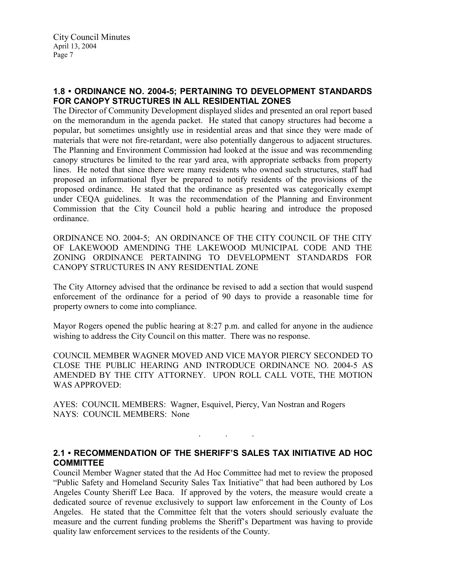## 1.8 • ORDINANCE NO. 2004-5; PERTAINING TO DEVELOPMENT STANDARDS FOR CANOPY STRUCTURES IN ALL RESIDENTIAL ZONES

The Director of Community Development displayed slides and presented an oral report based on the memorandum in the agenda packet. He stated that canopy structures had become a popular, but sometimes unsightly use in residential areas and that since they were made of materials that were not fire-retardant, were also potentially dangerous to adjacent structures. The Planning and Environment Commission had looked at the issue and was recommending canopy structures be limited to the rear yard area, with appropriate setbacks from property lines. He noted that since there were many residents who owned such structures, staff had proposed an informational flyer be prepared to notify residents of the provisions of the proposed ordinance. He stated that the ordinance as presented was categorically exempt under CEQA guidelines. It was the recommendation of the Planning and Environment Commission that the City Council hold a public hearing and introduce the proposed ordinance.

ORDINANCE NO. 2004-5; AN ORDINANCE OF THE CITY COUNCIL OF THE CITY OF LAKEWOOD AMENDING THE LAKEWOOD MUNICIPAL CODE AND THE ZONING ORDINANCE PERTAINING TO DEVELOPMENT STANDARDS FOR CANOPY STRUCTURES IN ANY RESIDENTIAL ZONE

The City Attorney advised that the ordinance be revised to add a section that would suspend enforcement of the ordinance for a period of 90 days to provide a reasonable time for property owners to come into compliance.

Mayor Rogers opened the public hearing at 8:27 p.m. and called for anyone in the audience wishing to address the City Council on this matter. There was no response.

COUNCIL MEMBER WAGNER MOVED AND VICE MAYOR PIERCY SECONDED TO CLOSE THE PUBLIC HEARING AND INTRODUCE ORDINANCE NO. 2004-5 AS AMENDED BY THE CITY ATTORNEY. UPON ROLL CALL VOTE, THE MOTION WAS APPROVED:

AYES: COUNCIL MEMBERS: Wagner, Esquivel, Piercy, Van Nostran and Rogers NAYS: COUNCIL MEMBERS: None

## 2.1 • RECOMMENDATION OF THE SHERIFF'S SALES TAX INITIATIVE AD HOC **COMMITTEE**

. . .

Council Member Wagner stated that the Ad Hoc Committee had met to review the proposed "Public Safety and Homeland Security Sales Tax Initiative" that had been authored by Los Angeles County Sheriff Lee Baca. If approved by the voters, the measure would create a dedicated source of revenue exclusively to support law enforcement in the County of Los Angeles. He stated that the Committee felt that the voters should seriously evaluate the measure and the current funding problems the Sheriff's Department was having to provide quality law enforcement services to the residents of the County.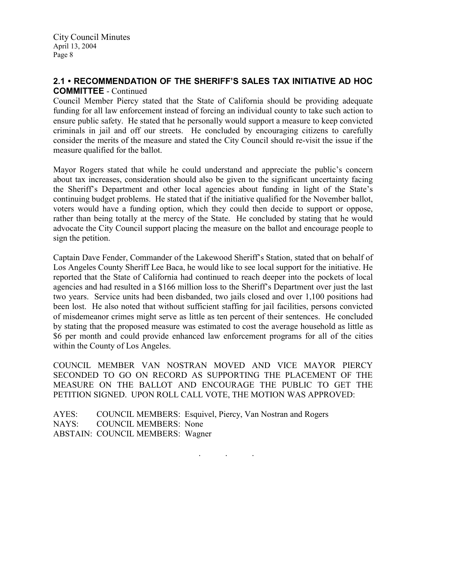## 2.1 • RECOMMENDATION OF THE SHERIFF'S SALES TAX INITIATIVE AD HOC COMMITTEE - Continued

Council Member Piercy stated that the State of California should be providing adequate funding for all law enforcement instead of forcing an individual county to take such action to ensure public safety. He stated that he personally would support a measure to keep convicted criminals in jail and off our streets. He concluded by encouraging citizens to carefully consider the merits of the measure and stated the City Council should re-visit the issue if the measure qualified for the ballot.

Mayor Rogers stated that while he could understand and appreciate the public's concern about tax increases, consideration should also be given to the significant uncertainty facing the Sheriff's Department and other local agencies about funding in light of the State's continuing budget problems. He stated that if the initiative qualified for the November ballot, voters would have a funding option, which they could then decide to support or oppose, rather than being totally at the mercy of the State. He concluded by stating that he would advocate the City Council support placing the measure on the ballot and encourage people to sign the petition.

Captain Dave Fender, Commander of the Lakewood Sheriff's Station, stated that on behalf of Los Angeles County Sheriff Lee Baca, he would like to see local support for the initiative. He reported that the State of California had continued to reach deeper into the pockets of local agencies and had resulted in a \$166 million loss to the Sheriff's Department over just the last two years. Service units had been disbanded, two jails closed and over 1,100 positions had been lost. He also noted that without sufficient staffing for jail facilities, persons convicted of misdemeanor crimes might serve as little as ten percent of their sentences. He concluded by stating that the proposed measure was estimated to cost the average household as little as \$6 per month and could provide enhanced law enforcement programs for all of the cities within the County of Los Angeles.

COUNCIL MEMBER VAN NOSTRAN MOVED AND VICE MAYOR PIERCY SECONDED TO GO ON RECORD AS SUPPORTING THE PLACEMENT OF THE MEASURE ON THE BALLOT AND ENCOURAGE THE PUBLIC TO GET THE PETITION SIGNED. UPON ROLL CALL VOTE, THE MOTION WAS APPROVED:

AYES: COUNCIL MEMBERS: Esquivel, Piercy, Van Nostran and Rogers NAYS: COUNCIL MEMBERS: None ABSTAIN: COUNCIL MEMBERS: Wagner

. . .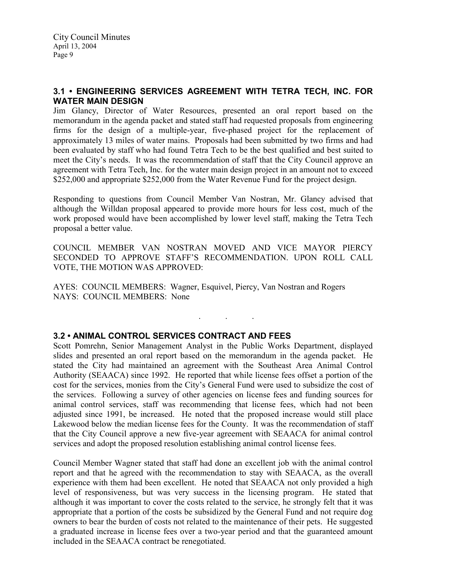## 3.1 • ENGINEERING SERVICES AGREEMENT WITH TETRA TECH, INC. FOR WATER MAIN DESIGN

Jim Glancy, Director of Water Resources, presented an oral report based on the memorandum in the agenda packet and stated staff had requested proposals from engineering firms for the design of a multiple-year, five-phased project for the replacement of approximately 13 miles of water mains. Proposals had been submitted by two firms and had been evaluated by staff who had found Tetra Tech to be the best qualified and best suited to meet the City's needs. It was the recommendation of staff that the City Council approve an agreement with Tetra Tech, Inc. for the water main design project in an amount not to exceed \$252,000 and appropriate \$252,000 from the Water Revenue Fund for the project design.

Responding to questions from Council Member Van Nostran, Mr. Glancy advised that although the Willdan proposal appeared to provide more hours for less cost, much of the work proposed would have been accomplished by lower level staff, making the Tetra Tech proposal a better value.

COUNCIL MEMBER VAN NOSTRAN MOVED AND VICE MAYOR PIERCY SECONDED TO APPROVE STAFF'S RECOMMENDATION. UPON ROLL CALL VOTE, THE MOTION WAS APPROVED:

. . .

AYES: COUNCIL MEMBERS: Wagner, Esquivel, Piercy, Van Nostran and Rogers NAYS: COUNCIL MEMBERS: None

### 3.2 • ANIMAL CONTROL SERVICES CONTRACT AND FEES

Scott Pomrehn, Senior Management Analyst in the Public Works Department, displayed slides and presented an oral report based on the memorandum in the agenda packet. He stated the City had maintained an agreement with the Southeast Area Animal Control Authority (SEAACA) since 1992. He reported that while license fees offset a portion of the cost for the services, monies from the City's General Fund were used to subsidize the cost of the services. Following a survey of other agencies on license fees and funding sources for animal control services, staff was recommending that license fees, which had not been adjusted since 1991, be increased. He noted that the proposed increase would still place Lakewood below the median license fees for the County. It was the recommendation of staff that the City Council approve a new five-year agreement with SEAACA for animal control services and adopt the proposed resolution establishing animal control license fees.

Council Member Wagner stated that staff had done an excellent job with the animal control report and that he agreed with the recommendation to stay with SEAACA, as the overall experience with them had been excellent. He noted that SEAACA not only provided a high level of responsiveness, but was very success in the licensing program. He stated that although it was important to cover the costs related to the service, he strongly felt that it was appropriate that a portion of the costs be subsidized by the General Fund and not require dog owners to bear the burden of costs not related to the maintenance of their pets. He suggested a graduated increase in license fees over a two-year period and that the guaranteed amount included in the SEAACA contract be renegotiated.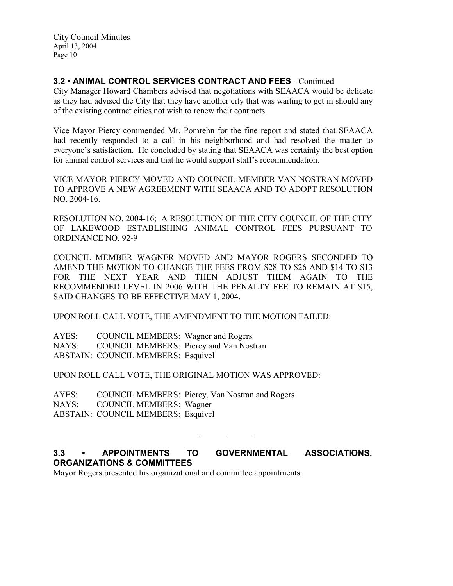# 3.2 • ANIMAL CONTROL SERVICES CONTRACT AND FEES - Continued

City Manager Howard Chambers advised that negotiations with SEAACA would be delicate as they had advised the City that they have another city that was waiting to get in should any of the existing contract cities not wish to renew their contracts.

Vice Mayor Piercy commended Mr. Pomrehn for the fine report and stated that SEAACA had recently responded to a call in his neighborhood and had resolved the matter to everyone's satisfaction. He concluded by stating that SEAACA was certainly the best option for animal control services and that he would support staff's recommendation.

VICE MAYOR PIERCY MOVED AND COUNCIL MEMBER VAN NOSTRAN MOVED TO APPROVE A NEW AGREEMENT WITH SEAACA AND TO ADOPT RESOLUTION NO. 2004-16.

RESOLUTION NO. 2004-16; A RESOLUTION OF THE CITY COUNCIL OF THE CITY OF LAKEWOOD ESTABLISHING ANIMAL CONTROL FEES PURSUANT TO ORDINANCE NO. 92-9

COUNCIL MEMBER WAGNER MOVED AND MAYOR ROGERS SECONDED TO AMEND THE MOTION TO CHANGE THE FEES FROM \$28 TO \$26 AND \$14 TO \$13 FOR THE NEXT YEAR AND THEN ADJUST THEM AGAIN TO THE RECOMMENDED LEVEL IN 2006 WITH THE PENALTY FEE TO REMAIN AT \$15, SAID CHANGES TO BE EFFECTIVE MAY 1, 2004.

UPON ROLL CALL VOTE, THE AMENDMENT TO THE MOTION FAILED:

AYES: COUNCIL MEMBERS: Wagner and Rogers NAYS: COUNCIL MEMBERS: Piercy and Van Nostran ABSTAIN: COUNCIL MEMBERS: Esquivel

UPON ROLL CALL VOTE, THE ORIGINAL MOTION WAS APPROVED:

AYES: COUNCIL MEMBERS: Piercy, Van Nostran and Rogers NAYS: COUNCIL MEMBERS: Wagner ABSTAIN: COUNCIL MEMBERS: Esquivel

# 3.3 • APPOINTMENTS TO GOVERNMENTAL ASSOCIATIONS, ORGANIZATIONS & COMMITTEES

. . .

Mayor Rogers presented his organizational and committee appointments.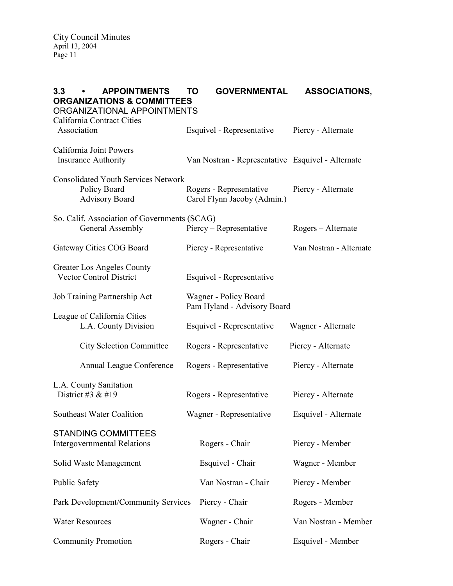| 3.3<br><b>APPOINTMENTS</b><br><b>ORGANIZATIONS &amp; COMMITTEES</b><br>ORGANIZATIONAL APPOINTMENTS | TO | <b>GOVERNMENTAL</b>                                    | <b>ASSOCIATIONS,</b>    |
|----------------------------------------------------------------------------------------------------|----|--------------------------------------------------------|-------------------------|
| California Contract Cities<br>Association                                                          |    | Esquivel - Representative                              | Piercy - Alternate      |
| California Joint Powers<br><b>Insurance Authority</b>                                              |    | Van Nostran - Representative Esquivel - Alternate      |                         |
| <b>Consolidated Youth Services Network</b><br>Policy Board<br><b>Advisory Board</b>                |    | Rogers - Representative<br>Carol Flynn Jacoby (Admin.) | Piercy - Alternate      |
| So. Calif. Association of Governments (SCAG)<br>General Assembly                                   |    | Piercy – Representative                                | Rogers – Alternate      |
| Gateway Cities COG Board                                                                           |    | Piercy - Representative                                | Van Nostran - Alternate |
| Greater Los Angeles County<br><b>Vector Control District</b>                                       |    | Esquivel - Representative                              |                         |
| Job Training Partnership Act                                                                       |    | Wagner - Policy Board<br>Pam Hyland - Advisory Board   |                         |
| League of California Cities<br>L.A. County Division                                                |    | Esquivel - Representative                              | Wagner - Alternate      |
| <b>City Selection Committee</b>                                                                    |    | Rogers - Representative                                | Piercy - Alternate      |
| Annual League Conference                                                                           |    | Rogers - Representative                                | Piercy - Alternate      |
| L.A. County Sanitation<br>District #3 $&$ #19                                                      |    | Rogers - Representative                                | Piercy - Alternate      |
| Southeast Water Coalition                                                                          |    | Wagner - Representative                                | Esquivel - Alternate    |
| <b>STANDING COMMITTEES</b><br><b>Intergovernmental Relations</b>                                   |    | Rogers - Chair                                         | Piercy - Member         |
| Solid Waste Management                                                                             |    | Esquivel - Chair                                       | Wagner - Member         |
| <b>Public Safety</b>                                                                               |    | Van Nostran - Chair                                    | Piercy - Member         |
| Park Development/Community Services                                                                |    | Piercy - Chair                                         | Rogers - Member         |
| <b>Water Resources</b>                                                                             |    | Wagner - Chair                                         | Van Nostran - Member    |
| Community Promotion                                                                                |    | Rogers - Chair                                         | Esquivel - Member       |